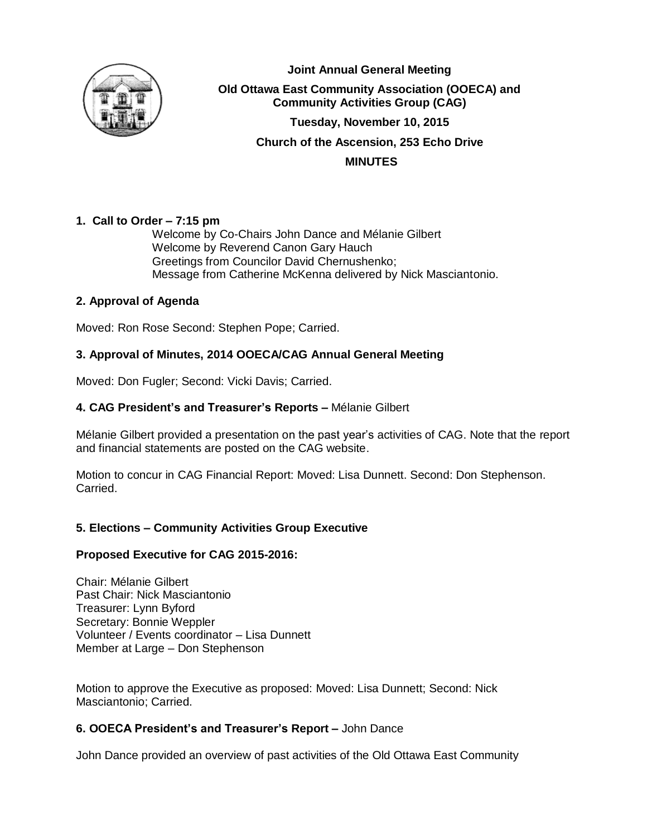

**Joint Annual General Meeting Old Ottawa East Community Association (OOECA) and Community Activities Group (CAG) Tuesday, November 10, 2015 Church of the Ascension, 253 Echo Drive MINUTES**

# **1. Call to Order – 7:15 pm**

Welcome by Co-Chairs John Dance and Mélanie Gilbert Welcome by Reverend Canon Gary Hauch Greetings from Councilor David Chernushenko; Message from Catherine McKenna delivered by Nick Masciantonio.

# **2. Approval of Agenda**

Moved: Ron Rose Second: Stephen Pope; Carried.

# **3. Approval of Minutes, 2014 OOECA/CAG Annual General Meeting**

Moved: Don Fugler; Second: Vicki Davis; Carried.

# **4. CAG President's and Treasurer's Reports –** Mélanie Gilbert

Mélanie Gilbert provided a presentation on the past year's activities of CAG. Note that the report and financial statements are posted on the CAG website.

Motion to concur in CAG Financial Report: Moved: Lisa Dunnett. Second: Don Stephenson. Carried.

# **5. Elections – Community Activities Group Executive**

#### **Proposed Executive for CAG 2015-2016:**

Chair: Mélanie Gilbert Past Chair: Nick Masciantonio Treasurer: Lynn Byford Secretary: Bonnie Weppler Volunteer / Events coordinator – Lisa Dunnett Member at Large – Don Stephenson

Motion to approve the Executive as proposed: Moved: Lisa Dunnett; Second: Nick Masciantonio; Carried.

# **6. OOECA President's and Treasurer's Report –** John Dance

John Dance provided an overview of past activities of the Old Ottawa East Community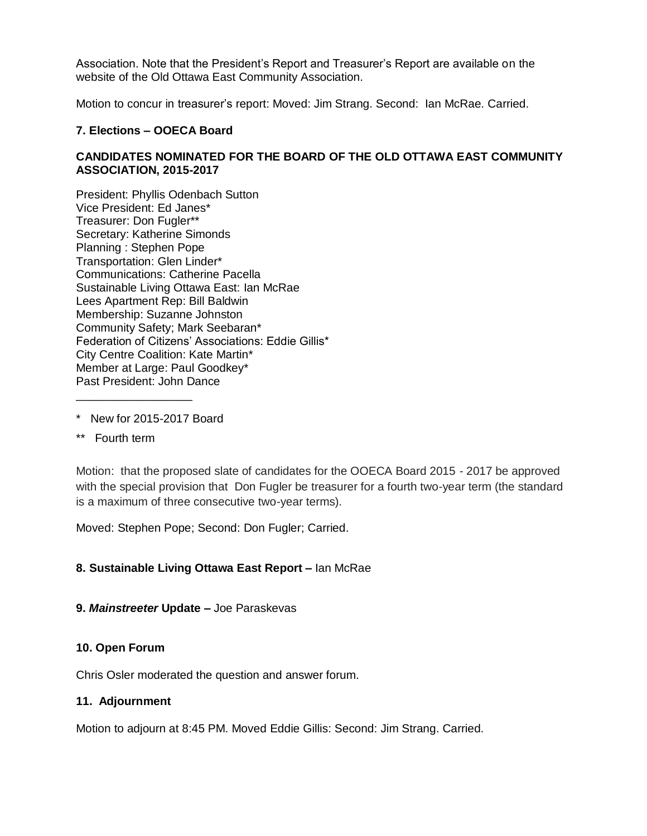Association. Note that the President's Report and Treasurer's Report are available on the website of the Old Ottawa East Community Association.

Motion to concur in treasurer's report: Moved: Jim Strang. Second: Ian McRae. Carried.

### **7. Elections – OOECA Board**

# **CANDIDATES NOMINATED FOR THE BOARD OF THE OLD OTTAWA EAST COMMUNITY ASSOCIATION, 2015-2017**

President: Phyllis Odenbach Sutton Vice President: Ed Janes\* Treasurer: Don Fugler\*\* Secretary: Katherine Simonds Planning : Stephen Pope Transportation: Glen Linder\* Communications: Catherine Pacella Sustainable Living Ottawa East: Ian McRae Lees Apartment Rep: Bill Baldwin Membership: Suzanne Johnston Community Safety; Mark Seebaran\* Federation of Citizens' Associations: Eddie Gillis\* City Centre Coalition: Kate Martin\* Member at Large: Paul Goodkey\* Past President: John Dance \_\_\_\_\_\_\_\_\_\_\_\_\_\_\_\_\_\_

- \* New for 2015-2017 Board
- \*\* Fourth term

Motion: that the proposed slate of candidates for the OOECA Board 2015 - 2017 be approved with the special provision that Don Fugler be treasurer for a fourth two-year term (the standard is a maximum of three consecutive two-year terms).

Moved: Stephen Pope; Second: Don Fugler; Carried.

#### **8. Sustainable Living Ottawa East Report –** Ian McRae

#### **9.** *Mainstreeter* **Update –** Joe Paraskevas

#### **10. Open Forum**

Chris Osler moderated the question and answer forum.

#### **11. Adjournment**

Motion to adjourn at 8:45 PM. Moved Eddie Gillis: Second: Jim Strang. Carried.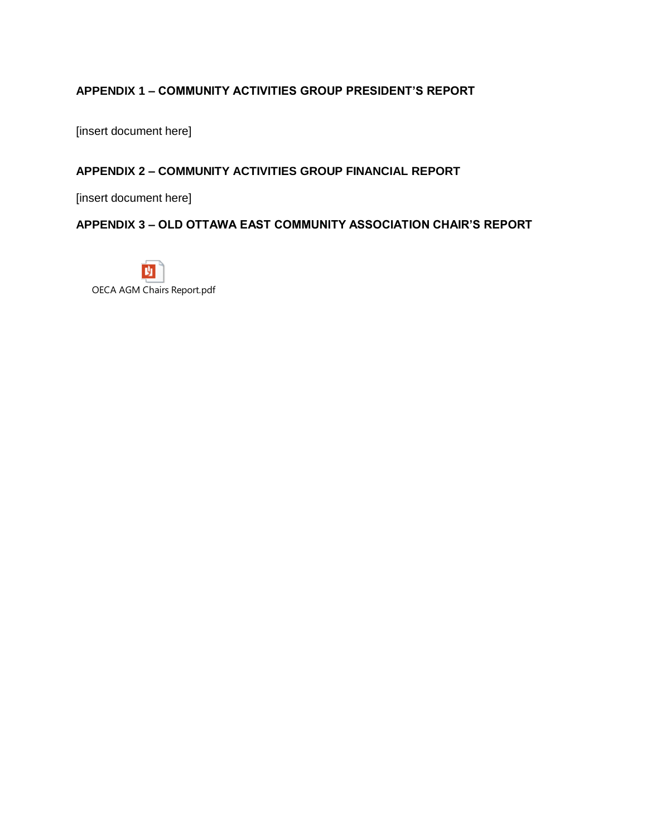# **APPENDIX 1 – COMMUNITY ACTIVITIES GROUP PRESIDENT'S REPORT**

[insert document here]

# **APPENDIX 2 – COMMUNITY ACTIVITIES GROUP FINANCIAL REPORT**

[insert document here]

# **APPENDIX 3 – OLD OTTAWA EAST COMMUNITY ASSOCIATION CHAIR'S REPORT**

M OECA AGM Chairs Report.pdf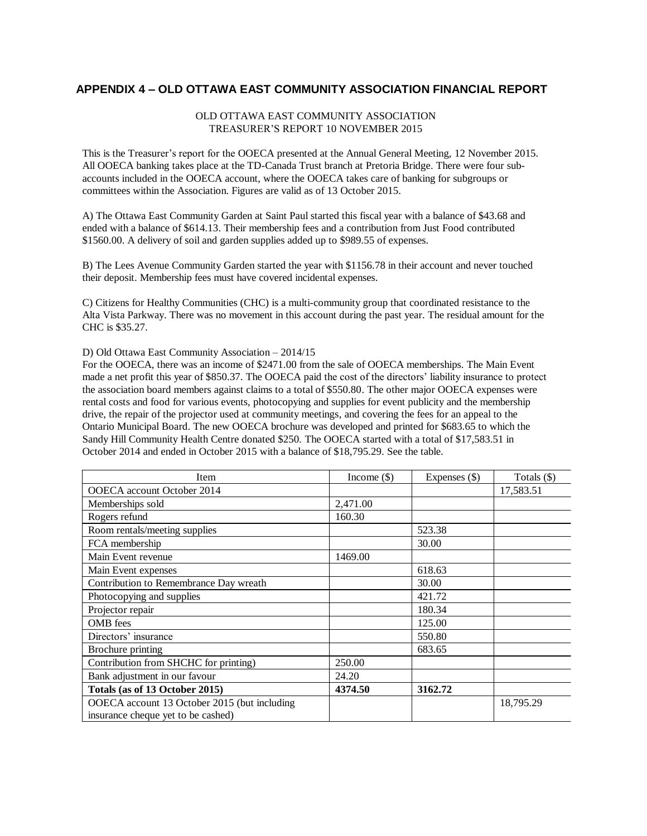### **APPENDIX 4 – OLD OTTAWA EAST COMMUNITY ASSOCIATION FINANCIAL REPORT**

#### OLD OTTAWA EAST COMMUNITY ASSOCIATION TREASURER'S REPORT 10 NOVEMBER 2015

This is the Treasurer's report for the OOECA presented at the Annual General Meeting, 12 November 2015. All OOECA banking takes place at the TD-Canada Trust branch at Pretoria Bridge. There were four subaccounts included in the OOECA account, where the OOECA takes care of banking for subgroups or committees within the Association. Figures are valid as of 13 October 2015.

A) The Ottawa East Community Garden at Saint Paul started this fiscal year with a balance of \$43.68 and ended with a balance of \$614.13. Their membership fees and a contribution from Just Food contributed \$1560.00. A delivery of soil and garden supplies added up to \$989.55 of expenses.

B) The Lees Avenue Community Garden started the year with \$1156.78 in their account and never touched their deposit. Membership fees must have covered incidental expenses.

C) Citizens for Healthy Communities (CHC) is a multi-community group that coordinated resistance to the Alta Vista Parkway. There was no movement in this account during the past year. The residual amount for the CHC is \$35.27.

D) Old Ottawa East Community Association – 2014/15

For the OOECA, there was an income of \$2471.00 from the sale of OOECA memberships. The Main Event made a net profit this year of \$850.37. The OOECA paid the cost of the directors' liability insurance to protect the association board members against claims to a total of \$550.80. The other major OOECA expenses were rental costs and food for various events, photocopying and supplies for event publicity and the membership drive, the repair of the projector used at community meetings, and covering the fees for an appeal to the Ontario Municipal Board. The new OOECA brochure was developed and printed for \$683.65 to which the Sandy Hill Community Health Centre donated \$250. The OOECA started with a total of \$17,583.51 in October 2014 and ended in October 2015 with a balance of \$18,795.29. See the table.

| Item                                                                               | Income $(\$)$ | Expenses $(\$)$ | Totals $(\$)$ |
|------------------------------------------------------------------------------------|---------------|-----------------|---------------|
| OOECA account October 2014                                                         |               |                 | 17,583.51     |
| Memberships sold                                                                   | 2,471.00      |                 |               |
| Rogers refund                                                                      | 160.30        |                 |               |
| Room rentals/meeting supplies                                                      |               | 523.38          |               |
| FCA membership                                                                     |               | 30.00           |               |
| Main Event revenue                                                                 | 1469.00       |                 |               |
| Main Event expenses                                                                |               | 618.63          |               |
| Contribution to Remembrance Day wreath                                             |               | 30.00           |               |
| Photocopying and supplies                                                          |               | 421.72          |               |
| Projector repair                                                                   |               | 180.34          |               |
| OMB fees                                                                           |               | 125.00          |               |
| Directors' insurance                                                               |               | 550.80          |               |
| Brochure printing                                                                  |               | 683.65          |               |
| Contribution from SHCHC for printing)                                              | 250.00        |                 |               |
| Bank adjustment in our favour                                                      | 24.20         |                 |               |
| Totals (as of 13 October 2015)                                                     | 4374.50       | 3162.72         |               |
| OOECA account 13 October 2015 (but including<br>insurance cheque yet to be cashed) |               |                 | 18,795.29     |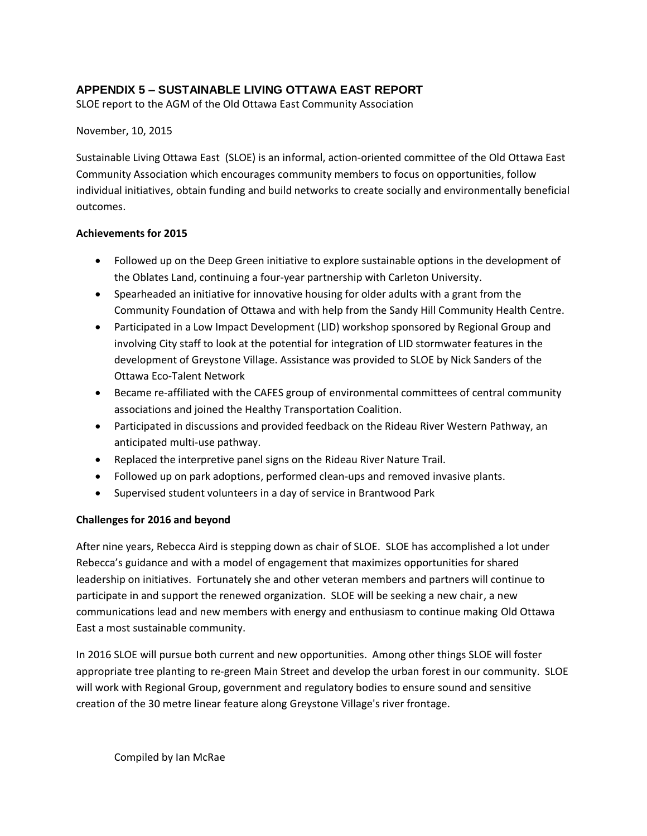# **APPENDIX 5 – SUSTAINABLE LIVING OTTAWA EAST REPORT**

SLOE report to the AGM of the Old Ottawa East Community Association

### November, 10, 2015

Sustainable Living Ottawa East (SLOE) is an informal, action-oriented committee of the Old Ottawa East Community Association which encourages community members to focus on opportunities, follow individual initiatives, obtain funding and build networks to create socially and environmentally beneficial outcomes.

### **Achievements for 2015**

- Followed up on the Deep Green initiative to explore sustainable options in the development of the Oblates Land, continuing a four-year partnership with Carleton University.
- Spearheaded an initiative for innovative housing for older adults with a grant from the Community Foundation of Ottawa and with help from the Sandy Hill Community Health Centre.
- Participated in a Low Impact Development (LID) workshop sponsored by Regional Group and involving City staff to look at the potential for integration of LID stormwater features in the development of Greystone Village. Assistance was provided to SLOE by Nick Sanders of the Ottawa Eco-Talent Network
- Became re-affiliated with the CAFES group of environmental committees of central community associations and joined the Healthy Transportation Coalition.
- Participated in discussions and provided feedback on the Rideau River Western Pathway, an anticipated multi-use pathway.
- Replaced the interpretive panel signs on the Rideau River Nature Trail.
- Followed up on park adoptions, performed clean-ups and removed invasive plants.
- Supervised student volunteers in a day of service in Brantwood Park

# **Challenges for 2016 and beyond**

After nine years, Rebecca Aird is stepping down as chair of SLOE. SLOE has accomplished a lot under Rebecca's guidance and with a model of engagement that maximizes opportunities for shared leadership on initiatives. Fortunately she and other veteran members and partners will continue to participate in and support the renewed organization. SLOE will be seeking a new chair, a new communications lead and new members with energy and enthusiasm to continue making Old Ottawa East a most sustainable community.

In 2016 SLOE will pursue both current and new opportunities. Among other things SLOE will foster appropriate tree planting to re-green Main Street and develop the urban forest in our community. SLOE will work with Regional Group, government and regulatory bodies to ensure sound and sensitive creation of the 30 metre linear feature along Greystone Village's river frontage.

Compiled by Ian McRae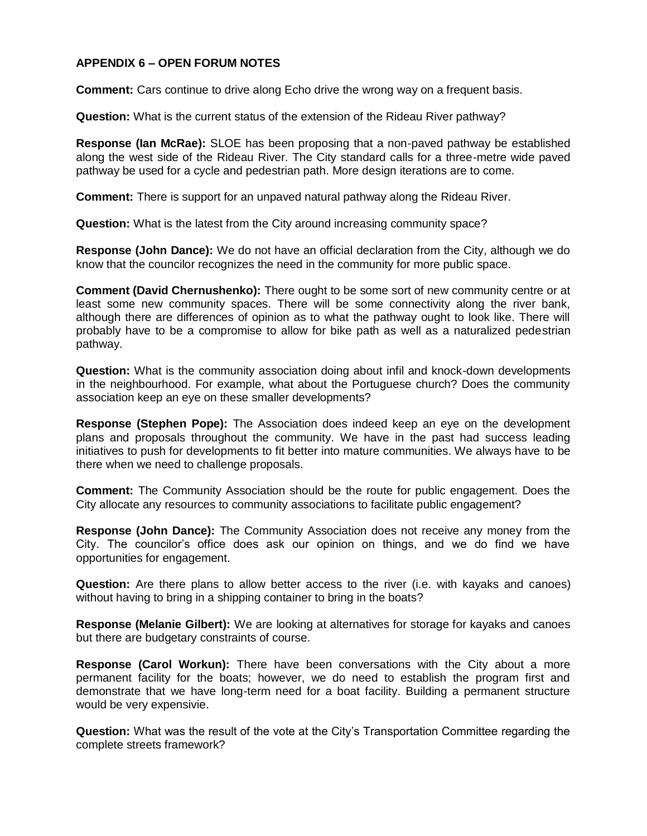# **APPENDIX 6 – OPEN FORUM NOTES**

**Comment:** Cars continue to drive along Echo drive the wrong way on a frequent basis.

**Question:** What is the current status of the extension of the Rideau River pathway?

**Response (Ian McRae):** SLOE has been proposing that a non-paved pathway be established along the west side of the Rideau River. The City standard calls for a three-metre wide paved pathway be used for a cycle and pedestrian path. More design iterations are to come.

**Comment:** There is support for an unpaved natural pathway along the Rideau River.

**Question:** What is the latest from the City around increasing community space?

**Response (John Dance):** We do not have an official declaration from the City, although we do know that the councilor recognizes the need in the community for more public space.

**Comment (David Chernushenko):** There ought to be some sort of new community centre or at least some new community spaces. There will be some connectivity along the river bank, although there are differences of opinion as to what the pathway ought to look like. There will probably have to be a compromise to allow for bike path as well as a naturalized pedestrian pathway.

**Question:** What is the community association doing about infil and knock-down developments in the neighbourhood. For example, what about the Portuguese church? Does the community association keep an eye on these smaller developments?

**Response (Stephen Pope):** The Association does indeed keep an eye on the development plans and proposals throughout the community. We have in the past had success leading initiatives to push for developments to fit better into mature communities. We always have to be there when we need to challenge proposals.

**Comment:** The Community Association should be the route for public engagement. Does the City allocate any resources to community associations to facilitate public engagement?

**Response (John Dance):** The Community Association does not receive any money from the City. The councilor's office does ask our opinion on things, and we do find we have opportunities for engagement.

**Question:** Are there plans to allow better access to the river (i.e. with kayaks and canoes) without having to bring in a shipping container to bring in the boats?

**Response (Melanie Gilbert):** We are looking at alternatives for storage for kayaks and canoes but there are budgetary constraints of course.

**Response (Carol Workun):** There have been conversations with the City about a more permanent facility for the boats; however, we do need to establish the program first and demonstrate that we have long-term need for a boat facility. Building a permanent structure would be very expensivie.

**Question:** What was the result of the vote at the City's Transportation Committee regarding the complete streets framework?